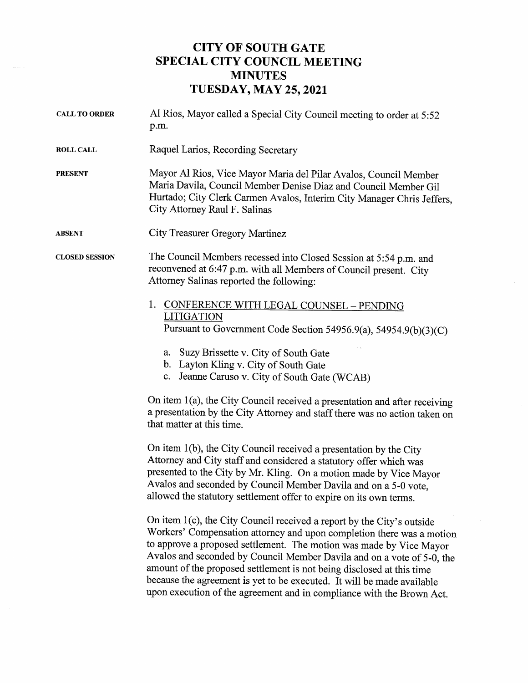## CITY OF SOUTH GATE SPECIAL CITY COUNCIL MEETING MINUTES TUESDAY, MAY 25, 2021

| <b>CALL TO ORDER</b>  | Al Rios, Mayor called a Special City Council meeting to order at 5:52<br>p.m.                                                                                                                                                                                                                                                                                                                                                                                                                                                |  |
|-----------------------|------------------------------------------------------------------------------------------------------------------------------------------------------------------------------------------------------------------------------------------------------------------------------------------------------------------------------------------------------------------------------------------------------------------------------------------------------------------------------------------------------------------------------|--|
| <b>ROLL CALL</b>      | Raquel Larios, Recording Secretary                                                                                                                                                                                                                                                                                                                                                                                                                                                                                           |  |
| <b>PRESENT</b>        | Mayor Al Rios, Vice Mayor Maria del Pilar Avalos, Council Member<br>Maria Davila, Council Member Denise Diaz and Council Member Gil<br>Hurtado; City Clerk Carmen Avalos, Interim City Manager Chris Jeffers,<br>City Attorney Raul F. Salinas                                                                                                                                                                                                                                                                               |  |
| <b>ABSENT</b>         | City Treasurer Gregory Martinez                                                                                                                                                                                                                                                                                                                                                                                                                                                                                              |  |
| <b>CLOSED SESSION</b> | The Council Members recessed into Closed Session at 5:54 p.m. and<br>reconvened at 6:47 p.m. with all Members of Council present. City<br>Attorney Salinas reported the following:                                                                                                                                                                                                                                                                                                                                           |  |
|                       | 1. CONFERENCE WITH LEGAL COUNSEL - PENDING                                                                                                                                                                                                                                                                                                                                                                                                                                                                                   |  |
|                       | <b>LITIGATION</b><br>Pursuant to Government Code Section 54956.9(a), 54954.9(b)(3)(C)                                                                                                                                                                                                                                                                                                                                                                                                                                        |  |
|                       | Suzy Brissette v. City of South Gate<br>a.<br>b. Layton Kling v. City of South Gate<br>c. Jeanne Caruso v. City of South Gate (WCAB)                                                                                                                                                                                                                                                                                                                                                                                         |  |
|                       | On item $1(a)$ , the City Council received a presentation and after receiving<br>a presentation by the City Attorney and staff there was no action taken on<br>that matter at this time.                                                                                                                                                                                                                                                                                                                                     |  |
|                       | On item 1(b), the City Council received a presentation by the City<br>Attorney and City staff and considered a statutory offer which was<br>presented to the City by Mr. Kling. On a motion made by Vice Mayor<br>Avalos and seconded by Council Member Davila and on a 5-0 vote,<br>allowed the statutory settlement offer to expire on its own terms.                                                                                                                                                                      |  |
|                       | On item 1(c), the City Council received a report by the City's outside<br>Workers' Compensation attorney and upon completion there was a motion<br>to approve a proposed settlement. The motion was made by Vice Mayor<br>Avalos and seconded by Council Member Davila and on a vote of 5-0, the<br>amount of the proposed settlement is not being disclosed at this time<br>because the agreement is yet to be executed. It will be made available<br>upon execution of the agreement and in compliance with the Brown Act. |  |